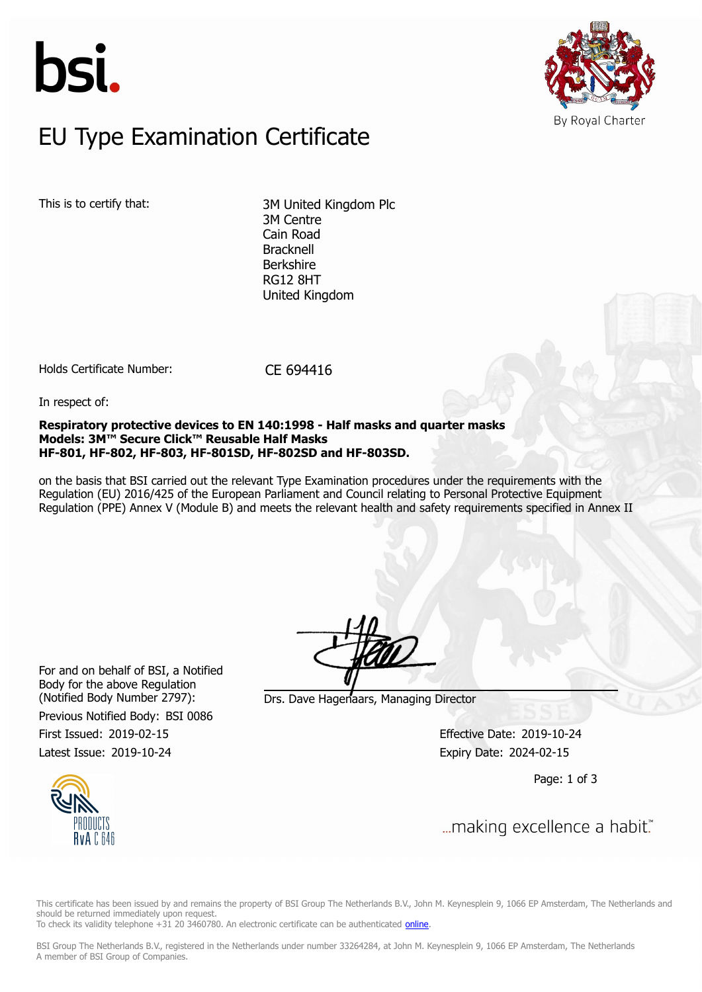



# $E$ U Type Examination Certific EU Type Examination Certificate

This is to certify that: 3M United Kingdom Plc 3M Centre Cain Road Bracknell Berkshire RG12 8HT United Kingdom

Holds Certificate Number: CE 694416

In respect of:

**Respiratory protective devices to EN 140:1998 - Half masks and quarter masks Models: 3M™ Secure Click™ Reusable Half Masks HF-801, HF-802, HF-803, HF-801SD, HF-802SD and HF-803SD.**

on the basis that BSI carried out the relevant Type Examination procedures under the requirements with the Regulation (EU) 2016/425 of the European Parliament and Council relating to Personal Protective Equipment Regulation (PPE) Annex V (Module B) and meets the relevant health and safety requirements specified in Annex II

For and on behalf of BSI, a Notified Body for the above Regulation

Previous Notified Body: BSI 0086

(Notified Body Number 2797): Drs. Dave Hagenaars, Managing Director

First Issued: 2019-02-15 Effective Date: 2019-10-24 Latest Issue: 2019-10-24 Expiry Date: 2024-02-15

Page: 1 of 3



This certificate has been issued by and remains the property of BSI Group The Netherlands B.V., John M. Keynesplein 9, 1066 EP Amsterdam, The Netherlands and should be returned immediately upon request.

To check its validity telephone +31 20 3460780. An electronic certificate can be authenticated *online*.

BSI Group The Netherlands B.V., registered in the Netherlands under number 33264284, at John M. Keynesplein 9, 1066 EP Amsterdam, The Netherlands A member of BSI Group of Companies.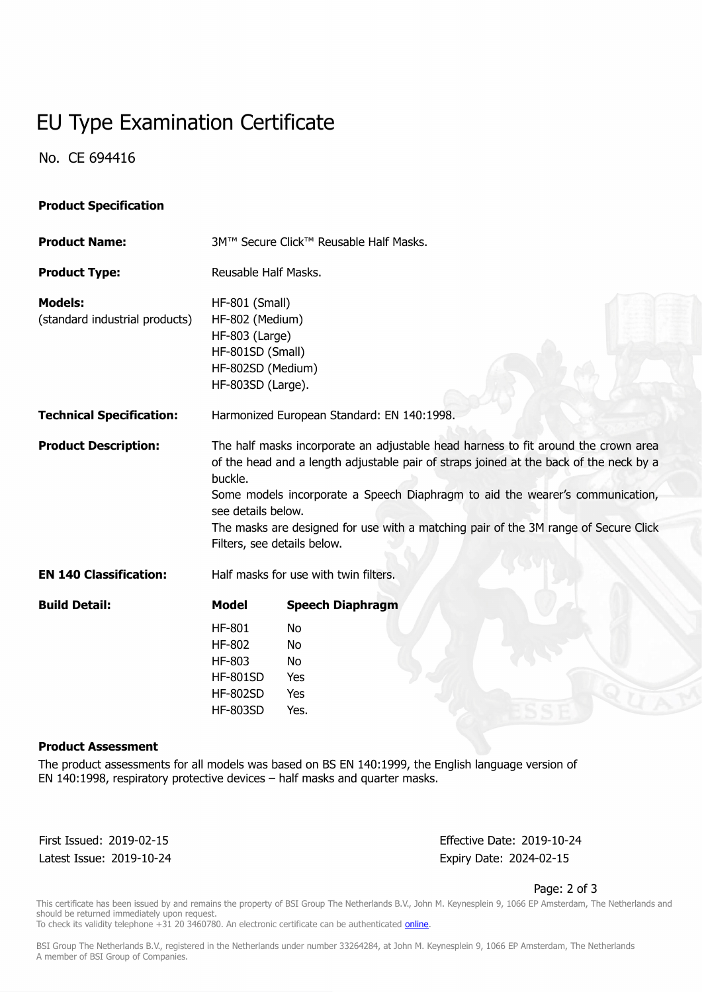# EU Type Examination Certificate

No. CE 694416

# **Product Specification**

| <b>Product Name:</b>                             | 3M™ Secure Click™ Reusable Half Masks.                                                                                                                                                                                                                                                                                                                                                                               |                                                           |  |  |
|--------------------------------------------------|----------------------------------------------------------------------------------------------------------------------------------------------------------------------------------------------------------------------------------------------------------------------------------------------------------------------------------------------------------------------------------------------------------------------|-----------------------------------------------------------|--|--|
| <b>Product Type:</b>                             | Reusable Half Masks.                                                                                                                                                                                                                                                                                                                                                                                                 |                                                           |  |  |
| <b>Models:</b><br>(standard industrial products) | HF-801 (Small)<br>HF-802 (Medium)<br>HF-803 (Large)<br>HF-801SD (Small)<br>HF-802SD (Medium)                                                                                                                                                                                                                                                                                                                         |                                                           |  |  |
|                                                  | HF-803SD (Large).                                                                                                                                                                                                                                                                                                                                                                                                    |                                                           |  |  |
| <b>Technical Specification:</b>                  | Harmonized European Standard: EN 140:1998.                                                                                                                                                                                                                                                                                                                                                                           |                                                           |  |  |
| <b>Product Description:</b>                      | The half masks incorporate an adjustable head harness to fit around the crown area<br>of the head and a length adjustable pair of straps joined at the back of the neck by a<br>buckle.<br>Some models incorporate a Speech Diaphragm to aid the wearer's communication,<br>see details below.<br>The masks are designed for use with a matching pair of the 3M range of Secure Click<br>Filters, see details below. |                                                           |  |  |
| <b>EN 140 Classification:</b>                    | Half masks for use with twin filters.                                                                                                                                                                                                                                                                                                                                                                                |                                                           |  |  |
| <b>Build Detail:</b>                             | <b>Model</b>                                                                                                                                                                                                                                                                                                                                                                                                         | <b>Speech Diaphragm</b>                                   |  |  |
|                                                  | <b>HF-801</b><br>HF-802<br>HF-803<br><b>HF-801SD</b><br><b>HF-802SD</b><br><b>HF-803SD</b>                                                                                                                                                                                                                                                                                                                           | <b>No</b><br><b>No</b><br><b>No</b><br>Yes<br>Yes<br>Yes. |  |  |

#### **Product Assessment**

The product assessments for all models was based on BS EN 140:1999, the English language version of EN 140:1998, respiratory protective devices – half masks and quarter masks.

Latest Issue: 2019-10-24 Expiry Date: 2024-02-15

First Issued: 2019-02-15 Effective Date: 2019-10-24

Page: 2 of 3

This certificate has been issued by and remains the property of BSI Group The Netherlands B.V., John M. Keynesplein 9, 1066 EP Amsterdam, The Netherlands and should be returned immediately upon request.

To check its validity telephone +31 20 3460780. An electronic certificate can be authenticated *online*.

BSI Group The Netherlands B.V., registered in the Netherlands under number 33264284, at John M. Keynesplein 9, 1066 EP Amsterdam, The Netherlands A member of BSI Group of Companies.